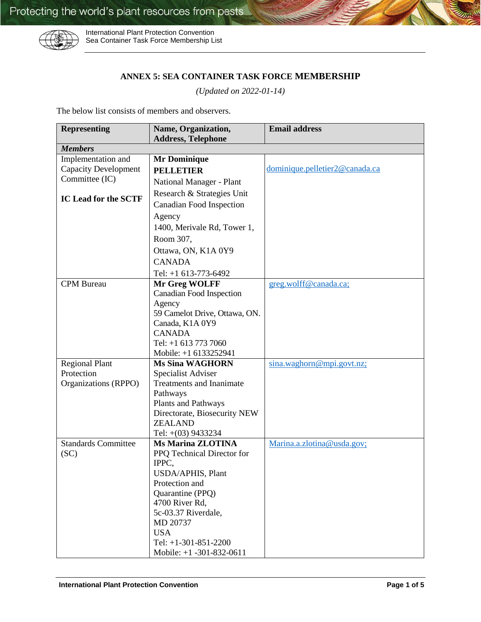

International Plant Protection Convention Sea Container Task Force Membership List

## **ANNEX 5: SEA CONTAINER TASK FORCE MEMBERSHIP**

*(Updated on 2022-01-14)*

The below list consists of members and observers.

| <b>Representing</b>         | Name, Organization,             | <b>Email address</b>           |
|-----------------------------|---------------------------------|--------------------------------|
|                             | <b>Address, Telephone</b>       |                                |
| <b>Members</b>              |                                 |                                |
| Implementation and          | <b>Mr Dominique</b>             |                                |
| <b>Capacity Development</b> | <b>PELLETIER</b>                | dominique.pelletier2@canada.ca |
| Committee (IC)              | National Manager - Plant        |                                |
| IC Lead for the SCTF        | Research & Strategies Unit      |                                |
|                             | <b>Canadian Food Inspection</b> |                                |
|                             | Agency                          |                                |
|                             | 1400, Merivale Rd, Tower 1,     |                                |
|                             | Room 307,                       |                                |
|                             | Ottawa, ON, K1A 0Y9             |                                |
|                             | <b>CANADA</b>                   |                                |
|                             | Tel: +1 613-773-6492            |                                |
| <b>CPM</b> Bureau           | Mr Greg WOLFF                   | greg.wolff@canada.ca;          |
|                             | <b>Canadian Food Inspection</b> |                                |
|                             | Agency                          |                                |
|                             | 59 Camelot Drive, Ottawa, ON.   |                                |
|                             | Canada, K1A 0Y9                 |                                |
|                             | <b>CANADA</b>                   |                                |
|                             | Tel: +1 613 773 7060            |                                |
|                             | Mobile: +1 6133252941           |                                |
| <b>Regional Plant</b>       | <b>Ms Sina WAGHORN</b>          | sina.waghorn@mpi.govt.nz;      |
| Protection                  | Specialist Adviser              |                                |
| Organizations (RPPO)        | <b>Treatments and Inanimate</b> |                                |
|                             | Pathways                        |                                |
|                             | Plants and Pathways             |                                |
|                             | Directorate, Biosecurity NEW    |                                |
|                             | <b>ZEALAND</b>                  |                                |
|                             | Tel: $+(03)$ 9433234            |                                |
| <b>Standards Committee</b>  | <b>Ms Marina ZLOTINA</b>        | Marina.a.zlotina@usda.gov;     |
| (SC)                        | PPQ Technical Director for      |                                |
|                             | IPPC,                           |                                |
|                             | USDA/APHIS, Plant               |                                |
|                             | Protection and                  |                                |
|                             | Quarantine (PPQ)                |                                |
|                             | 4700 River Rd,                  |                                |
|                             | 5c-03.37 Riverdale,             |                                |
|                             | MD 20737                        |                                |
|                             | <b>USA</b>                      |                                |
|                             | Tel: $+1-301-851-2200$          |                                |
|                             | Mobile: $+1 -301 -832 -0611$    |                                |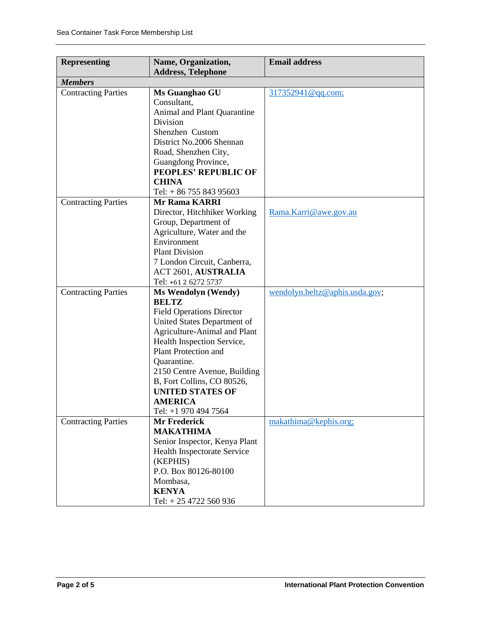| <b>Representing</b>        | Name, Organization,                                       | <b>Email address</b>           |
|----------------------------|-----------------------------------------------------------|--------------------------------|
|                            | <b>Address, Telephone</b>                                 |                                |
| <b>Members</b>             |                                                           |                                |
| <b>Contracting Parties</b> | Ms Guanghao GU                                            | 317352941@qq.com;              |
|                            | Consultant,                                               |                                |
|                            | Animal and Plant Quarantine                               |                                |
|                            | Division                                                  |                                |
|                            | Shenzhen Custom                                           |                                |
|                            | District No.2006 Shennan                                  |                                |
|                            | Road, Shenzhen City,                                      |                                |
|                            | Guangdong Province,                                       |                                |
|                            | <b>PEOPLES' REPUBLIC OF</b>                               |                                |
|                            | <b>CHINA</b>                                              |                                |
|                            | Tel: $+8675584395603$                                     |                                |
| <b>Contracting Parties</b> | <b>Mr Rama KARRI</b>                                      |                                |
|                            | Director, Hitchhiker Working                              | Rama.Karri@awe.gov.au          |
|                            | Group, Department of                                      |                                |
|                            | Agriculture, Water and the                                |                                |
|                            | Environment<br><b>Plant Division</b>                      |                                |
|                            |                                                           |                                |
|                            | 7 London Circuit, Canberra,<br><b>ACT 2601, AUSTRALIA</b> |                                |
|                            | Tel: +61 2 6272 5737                                      |                                |
| <b>Contracting Parties</b> | <b>Ms Wendolyn (Wendy)</b>                                | wendolyn.beltz@aphis.usda.gov; |
|                            | <b>BELTZ</b>                                              |                                |
|                            | <b>Field Operations Director</b>                          |                                |
|                            | United States Department of                               |                                |
|                            | Agriculture-Animal and Plant                              |                                |
|                            | Health Inspection Service,                                |                                |
|                            | <b>Plant Protection and</b>                               |                                |
|                            | Quarantine.                                               |                                |
|                            | 2150 Centre Avenue, Building                              |                                |
|                            | B, Fort Collins, CO 80526,                                |                                |
|                            | <b>UNITED STATES OF</b>                                   |                                |
|                            | <b>AMERICA</b>                                            |                                |
|                            | Tel: +1 970 494 7564                                      |                                |
| <b>Contracting Parties</b> | <b>Mr Frederick</b>                                       | makathima@kephis.org;          |
|                            | <b>MAKATHIMA</b>                                          |                                |
|                            | Senior Inspector, Kenya Plant                             |                                |
|                            | Health Inspectorate Service                               |                                |
|                            | (KEPHIS)                                                  |                                |
|                            | P.O. Box 80126-80100                                      |                                |
|                            | Mombasa,                                                  |                                |
|                            | <b>KENYA</b>                                              |                                |
|                            | Tel: +25 4722 560 936                                     |                                |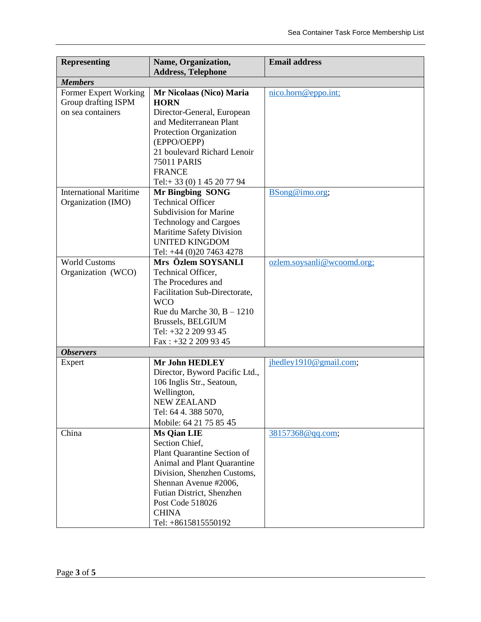| <b>Representing</b>           | Name, Organization,                               | <b>Email address</b>       |
|-------------------------------|---------------------------------------------------|----------------------------|
|                               | <b>Address, Telephone</b>                         |                            |
| <b>Members</b>                |                                                   |                            |
| Former Expert Working         | Mr Nicolaas (Nico) Maria                          | nico.horn@eppo.int;        |
| Group drafting ISPM           | <b>HORN</b>                                       |                            |
| on sea containers             | Director-General, European                        |                            |
|                               | and Mediterranean Plant                           |                            |
|                               | Protection Organization<br>(EPPO/OEPP)            |                            |
|                               | 21 boulevard Richard Lenoir                       |                            |
|                               | <b>75011 PARIS</b>                                |                            |
|                               | <b>FRANCE</b>                                     |                            |
|                               | Tel:+33 (0) 1 45 20 77 94                         |                            |
| <b>International Maritime</b> | <b>Mr Bingbing SONG</b>                           | BSong@imo.org;             |
| Organization (IMO)            | <b>Technical Officer</b>                          |                            |
|                               | <b>Subdivision for Marine</b>                     |                            |
|                               | <b>Technology and Cargoes</b>                     |                            |
|                               | Maritime Safety Division                          |                            |
|                               | <b>UNITED KINGDOM</b>                             |                            |
|                               | Tel: +44 (0)20 7463 4278                          |                            |
| <b>World Customs</b>          | Mrs Özlem SOYSANLI                                | ozlem.soysanli@wcoomd.org; |
| Organization (WCO)            | Technical Officer,                                |                            |
|                               | The Procedures and                                |                            |
|                               | Facilitation Sub-Directorate,                     |                            |
|                               | <b>WCO</b>                                        |                            |
|                               | Rue du Marche $30, B - 1210$<br>Brussels, BELGIUM |                            |
|                               | Tel: +32 2 209 93 45                              |                            |
|                               | Fax: +32 2 209 93 45                              |                            |
| <b>Observers</b>              |                                                   |                            |
| Expert                        | <b>Mr John HEDLEY</b>                             | jhedley1910@gmail.com;     |
|                               | Director, Byword Pacific Ltd.,                    |                            |
|                               | 106 Inglis Str., Seatoun,                         |                            |
|                               | Wellington,                                       |                            |
|                               | <b>NEW ZEALAND</b>                                |                            |
|                               | Tel: 64 4. 388 5070,                              |                            |
|                               | Mobile: 64 21 75 85 45                            |                            |
| China                         | <b>Ms Qian LIE</b>                                | 38157368@qq.com;           |
|                               | Section Chief,                                    |                            |
|                               | Plant Quarantine Section of                       |                            |
|                               | Animal and Plant Quarantine                       |                            |
|                               | Division, Shenzhen Customs,                       |                            |
|                               | Shennan Avenue #2006,                             |                            |
|                               | Futian District, Shenzhen                         |                            |
|                               | Post Code 518026<br><b>CHINA</b>                  |                            |
|                               | Tel: +8615815550192                               |                            |
|                               |                                                   |                            |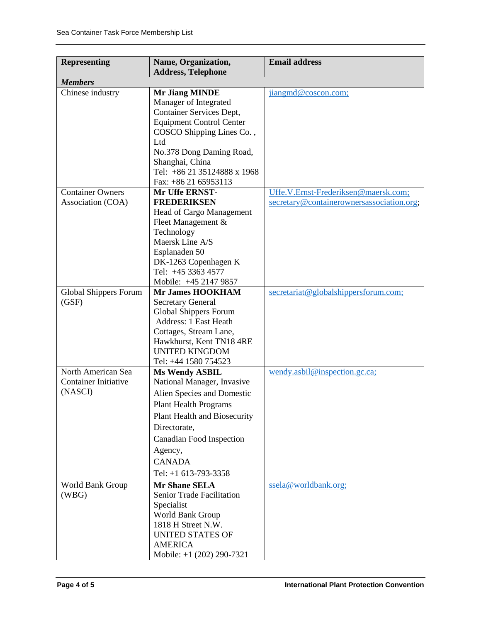| <b>Representing</b>          | Name, Organization,<br><b>Address, Telephone</b>                                                                                           | <b>Email address</b>                      |
|------------------------------|--------------------------------------------------------------------------------------------------------------------------------------------|-------------------------------------------|
| <b>Members</b>               |                                                                                                                                            |                                           |
| Chinese industry             | <b>Mr Jiang MINDE</b><br>Manager of Integrated<br>Container Services Dept,<br><b>Equipment Control Center</b><br>COSCO Shipping Lines Co., | jiangmd@coscon.com;                       |
|                              | Ltd<br>No.378 Dong Daming Road,<br>Shanghai, China<br>Tel: +86 21 35124888 x 1968<br>Fax: +86 21 65953113                                  |                                           |
| <b>Container Owners</b>      | Mr Uffe ERNST-                                                                                                                             | Uffe.V.Ernst-Frederiksen@maersk.com;      |
| Association (COA)            | <b>FREDERIKSEN</b>                                                                                                                         | secretary@containerownersassociation.org; |
|                              | Head of Cargo Management                                                                                                                   |                                           |
|                              | Fleet Management &                                                                                                                         |                                           |
|                              | Technology                                                                                                                                 |                                           |
|                              | Maersk Line A/S                                                                                                                            |                                           |
|                              | Esplanaden 50                                                                                                                              |                                           |
|                              | DK-1263 Copenhagen K<br>Tel: +45 3363 4577                                                                                                 |                                           |
|                              | Mobile: +45 2147 9857                                                                                                                      |                                           |
| <b>Global Shippers Forum</b> | <b>Mr James HOOKHAM</b>                                                                                                                    | secretariat@globalshippersforum.com;      |
| (GSF)                        | <b>Secretary General</b>                                                                                                                   |                                           |
|                              | <b>Global Shippers Forum</b>                                                                                                               |                                           |
|                              | Address: 1 East Heath                                                                                                                      |                                           |
|                              | Cottages, Stream Lane,                                                                                                                     |                                           |
|                              | Hawkhurst, Kent TN18 4RE                                                                                                                   |                                           |
|                              | <b>UNITED KINGDOM</b>                                                                                                                      |                                           |
|                              | Tel: +44 1580 754523                                                                                                                       |                                           |
| North American Sea           | <b>Ms Wendy ASBIL</b>                                                                                                                      | wendy.asbil@inspection.gc.ca;             |
| <b>Container Initiative</b>  | National Manager, Invasive                                                                                                                 |                                           |
| (NASCI)                      | Alien Species and Domestic                                                                                                                 |                                           |
|                              | <b>Plant Health Programs</b>                                                                                                               |                                           |
|                              | Plant Health and Biosecurity                                                                                                               |                                           |
|                              | Directorate,                                                                                                                               |                                           |
|                              | Canadian Food Inspection                                                                                                                   |                                           |
|                              | Agency,                                                                                                                                    |                                           |
|                              | <b>CANADA</b>                                                                                                                              |                                           |
|                              | Tel: $+1$ 613-793-3358                                                                                                                     |                                           |
| World Bank Group<br>(WBG)    | <b>Mr Shane SELA</b><br>Senior Trade Facilitation<br>Specialist<br>World Bank Group<br>1818 H Street N.W.<br><b>UNITED STATES OF</b>       | ssela@worldbank.org;                      |
|                              | <b>AMERICA</b>                                                                                                                             |                                           |
|                              | Mobile: $+1$ (202) 290-7321                                                                                                                |                                           |